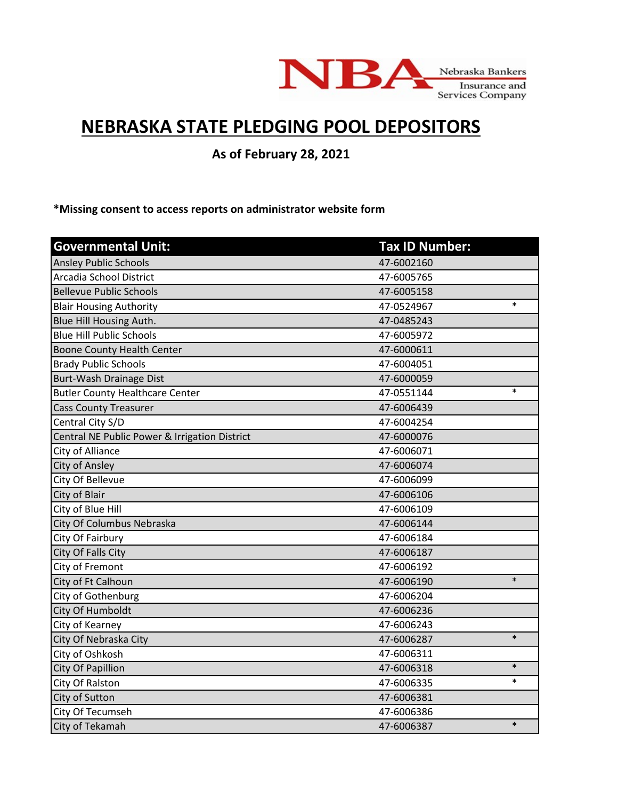

## **NEBRASKA STATE PLEDGING POOL DEPOSITORS**

**As of February 28, 2021**

**\*Missing consent to access reports on administrator website form**

| <b>Governmental Unit:</b>                     | <b>Tax ID Number:</b> |        |
|-----------------------------------------------|-----------------------|--------|
| <b>Ansley Public Schools</b>                  | 47-6002160            |        |
| <b>Arcadia School District</b>                | 47-6005765            |        |
| <b>Bellevue Public Schools</b>                | 47-6005158            |        |
| <b>Blair Housing Authority</b>                | 47-0524967            | $\ast$ |
| Blue Hill Housing Auth.                       | 47-0485243            |        |
| <b>Blue Hill Public Schools</b>               | 47-6005972            |        |
| <b>Boone County Health Center</b>             | 47-6000611            |        |
| <b>Brady Public Schools</b>                   | 47-6004051            |        |
| Burt-Wash Drainage Dist                       | 47-6000059            |        |
| <b>Butler County Healthcare Center</b>        | 47-0551144            | $\ast$ |
| <b>Cass County Treasurer</b>                  | 47-6006439            |        |
| Central City S/D                              | 47-6004254            |        |
| Central NE Public Power & Irrigation District | 47-6000076            |        |
| City of Alliance                              | 47-6006071            |        |
| City of Ansley                                | 47-6006074            |        |
| City Of Bellevue                              | 47-6006099            |        |
| City of Blair                                 | 47-6006106            |        |
| City of Blue Hill                             | 47-6006109            |        |
| City Of Columbus Nebraska                     | 47-6006144            |        |
| City Of Fairbury                              | 47-6006184            |        |
| <b>City Of Falls City</b>                     | 47-6006187            |        |
| City of Fremont                               | 47-6006192            |        |
| City of Ft Calhoun                            | 47-6006190            | $\ast$ |
| City of Gothenburg                            | 47-6006204            |        |
| City Of Humboldt                              | 47-6006236            |        |
| City of Kearney                               | 47-6006243            |        |
| City Of Nebraska City                         | 47-6006287            | $\ast$ |
| City of Oshkosh                               | 47-6006311            |        |
| City Of Papillion                             | 47-6006318            | $\ast$ |
| City Of Ralston                               | 47-6006335            | $\ast$ |
| City of Sutton                                | 47-6006381            |        |
| City Of Tecumseh                              | 47-6006386            |        |
| City of Tekamah                               | 47-6006387            | $\ast$ |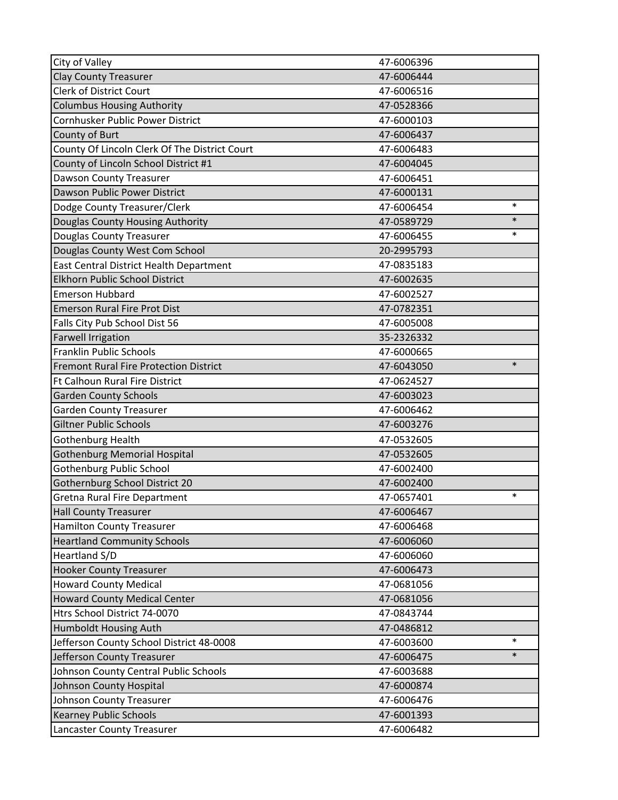| City of Valley                                | 47-6006396 |        |
|-----------------------------------------------|------------|--------|
| <b>Clay County Treasurer</b>                  | 47-6006444 |        |
| <b>Clerk of District Court</b>                | 47-6006516 |        |
| <b>Columbus Housing Authority</b>             | 47-0528366 |        |
| Cornhusker Public Power District              | 47-6000103 |        |
| County of Burt                                | 47-6006437 |        |
| County Of Lincoln Clerk Of The District Court | 47-6006483 |        |
| County of Lincoln School District #1          | 47-6004045 |        |
| <b>Dawson County Treasurer</b>                | 47-6006451 |        |
| Dawson Public Power District                  | 47-6000131 |        |
| Dodge County Treasurer/Clerk                  | 47-6006454 | $\ast$ |
| Douglas County Housing Authority              | 47-0589729 | $\ast$ |
| <b>Douglas County Treasurer</b>               | 47-6006455 | $\ast$ |
| Douglas County West Com School                | 20-2995793 |        |
| East Central District Health Department       | 47-0835183 |        |
| Elkhorn Public School District                | 47-6002635 |        |
| <b>Emerson Hubbard</b>                        | 47-6002527 |        |
| <b>Emerson Rural Fire Prot Dist</b>           | 47-0782351 |        |
| Falls City Pub School Dist 56                 | 47-6005008 |        |
| <b>Farwell Irrigation</b>                     | 35-2326332 |        |
| <b>Franklin Public Schools</b>                | 47-6000665 |        |
| <b>Fremont Rural Fire Protection District</b> | 47-6043050 | $\ast$ |
| Ft Calhoun Rural Fire District                | 47-0624527 |        |
| <b>Garden County Schools</b>                  | 47-6003023 |        |
| <b>Garden County Treasurer</b>                | 47-6006462 |        |
| <b>Giltner Public Schools</b>                 | 47-6003276 |        |
| Gothenburg Health                             | 47-0532605 |        |
| <b>Gothenburg Memorial Hospital</b>           | 47-0532605 |        |
| <b>Gothenburg Public School</b>               | 47-6002400 |        |
| Gothernburg School District 20                | 47-6002400 |        |
| <b>Gretna Rural Fire Department</b>           | 47-0657401 | $\ast$ |
| <b>Hall County Treasurer</b>                  | 47-6006467 |        |
| <b>Hamilton County Treasurer</b>              | 47-6006468 |        |
| <b>Heartland Community Schools</b>            | 47-6006060 |        |
| Heartland S/D                                 | 47-6006060 |        |
| <b>Hooker County Treasurer</b>                | 47-6006473 |        |
| <b>Howard County Medical</b>                  | 47-0681056 |        |
| <b>Howard County Medical Center</b>           | 47-0681056 |        |
| Htrs School District 74-0070                  | 47-0843744 |        |
| Humboldt Housing Auth                         | 47-0486812 |        |
| Jefferson County School District 48-0008      | 47-6003600 | $\ast$ |
| Jefferson County Treasurer                    | 47-6006475 | $\ast$ |
| Johnson County Central Public Schools         | 47-6003688 |        |
| Johnson County Hospital                       | 47-6000874 |        |
| <b>Johnson County Treasurer</b>               | 47-6006476 |        |
| <b>Kearney Public Schools</b>                 | 47-6001393 |        |
| Lancaster County Treasurer                    | 47-6006482 |        |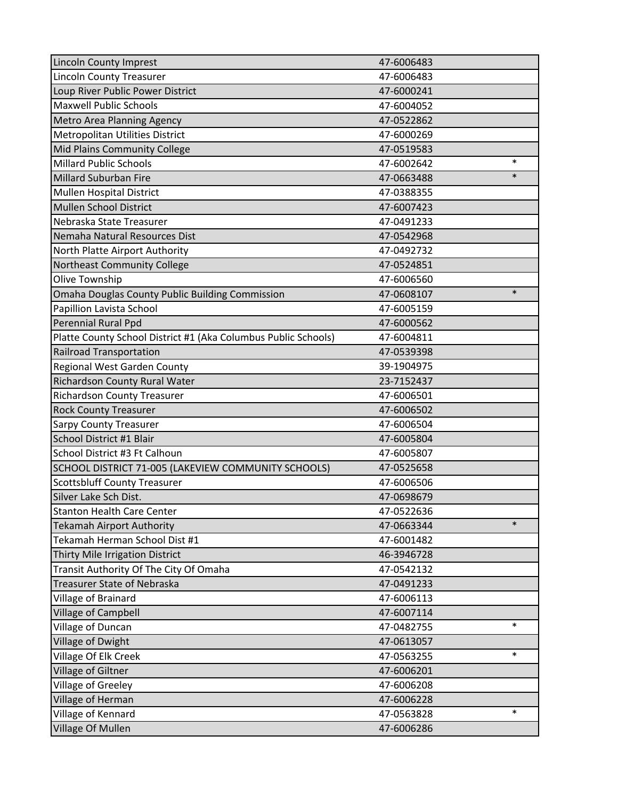| <b>Lincoln County Imprest</b>                                  | 47-6006483 |        |
|----------------------------------------------------------------|------------|--------|
| Lincoln County Treasurer                                       | 47-6006483 |        |
| Loup River Public Power District                               | 47-6000241 |        |
| <b>Maxwell Public Schools</b>                                  | 47-6004052 |        |
| <b>Metro Area Planning Agency</b>                              | 47-0522862 |        |
| Metropolitan Utilities District                                | 47-6000269 |        |
| Mid Plains Community College                                   | 47-0519583 |        |
| <b>Millard Public Schools</b>                                  | 47-6002642 | $\ast$ |
| <b>Millard Suburban Fire</b>                                   | 47-0663488 | $\ast$ |
| Mullen Hospital District                                       | 47-0388355 |        |
| <b>Mullen School District</b>                                  | 47-6007423 |        |
| Nebraska State Treasurer                                       | 47-0491233 |        |
| Nemaha Natural Resources Dist                                  | 47-0542968 |        |
| North Platte Airport Authority                                 | 47-0492732 |        |
| Northeast Community College                                    | 47-0524851 |        |
| Olive Township                                                 | 47-6006560 |        |
| <b>Omaha Douglas County Public Building Commission</b>         | 47-0608107 | $\ast$ |
| Papillion Lavista School                                       | 47-6005159 |        |
| Perennial Rural Ppd                                            | 47-6000562 |        |
| Platte County School District #1 (Aka Columbus Public Schools) | 47-6004811 |        |
| <b>Railroad Transportation</b>                                 | 47-0539398 |        |
| Regional West Garden County                                    | 39-1904975 |        |
| Richardson County Rural Water                                  | 23-7152437 |        |
| <b>Richardson County Treasurer</b>                             | 47-6006501 |        |
| <b>Rock County Treasurer</b>                                   | 47-6006502 |        |
| <b>Sarpy County Treasurer</b>                                  | 47-6006504 |        |
| School District #1 Blair                                       | 47-6005804 |        |
| School District #3 Ft Calhoun                                  | 47-6005807 |        |
| SCHOOL DISTRICT 71-005 (LAKEVIEW COMMUNITY SCHOOLS)            | 47-0525658 |        |
| <b>Scottsbluff County Treasurer</b>                            | 47-6006506 |        |
| Silver Lake Sch Dist.                                          | 47-0698679 |        |
| <b>Stanton Health Care Center</b>                              | 47-0522636 |        |
| <b>Tekamah Airport Authority</b>                               | 47-0663344 | $\ast$ |
| Tekamah Herman School Dist #1                                  | 47-6001482 |        |
| Thirty Mile Irrigation District                                | 46-3946728 |        |
| Transit Authority Of The City Of Omaha                         | 47-0542132 |        |
| <b>Treasurer State of Nebraska</b>                             | 47-0491233 |        |
| Village of Brainard                                            | 47-6006113 |        |
| <b>Village of Campbell</b>                                     | 47-6007114 |        |
| Village of Duncan                                              | 47-0482755 | $\ast$ |
| Village of Dwight                                              | 47-0613057 |        |
| Village Of Elk Creek                                           | 47-0563255 | $\ast$ |
| Village of Giltner                                             | 47-6006201 |        |
| Village of Greeley                                             | 47-6006208 |        |
| Village of Herman                                              | 47-6006228 |        |
| Village of Kennard                                             | 47-0563828 | $\ast$ |
| Village Of Mullen                                              | 47-6006286 |        |